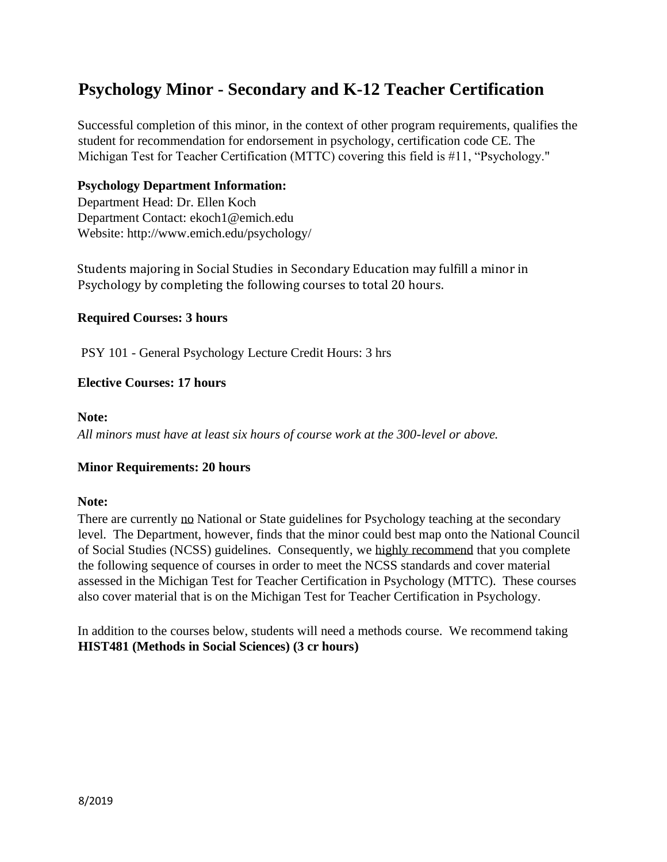# **Psychology Minor - Secondary and K-12 Teacher Certification**

Successful completion of this minor, in the context of other program requirements, qualifies the student for recommendation for endorsement in psychology, certification code CE. The Michigan Test for Teacher Certification (MTTC) covering this field is #11, "Psychology."

## **Psychology Department Information:**

Department Head: Dr. Ellen Koch Department Contact: ekoch1@emich.edu Website: http://www.emich.edu/psychology/

Students majoring in Social Studies in Secondary Education may fulfill a minor in Psychology by completing the following courses to total 20 hours.

## **Required Courses: 3 hours**

PSY 101 - General Psychology Lecture Credit Hours: 3 hrs

## **Elective Courses: 17 hours**

#### **Note:**

*All minors must have at least six hours of course work at the 300-level or above.*

### **Minor Requirements: 20 hours**

### **Note:**

There are currently no National or State guidelines for Psychology teaching at the secondary level. The Department, however, finds that the minor could best map onto the National Council of Social Studies (NCSS) guidelines. Consequently, we highly recommend that you complete the following sequence of courses in order to meet the NCSS standards and cover material assessed in the Michigan Test for Teacher Certification in Psychology (MTTC). These courses also cover material that is on the Michigan Test for Teacher Certification in Psychology.

In addition to the courses below, students will need a methods course. We recommend taking **HIST481 (Methods in Social Sciences) (3 cr hours)**